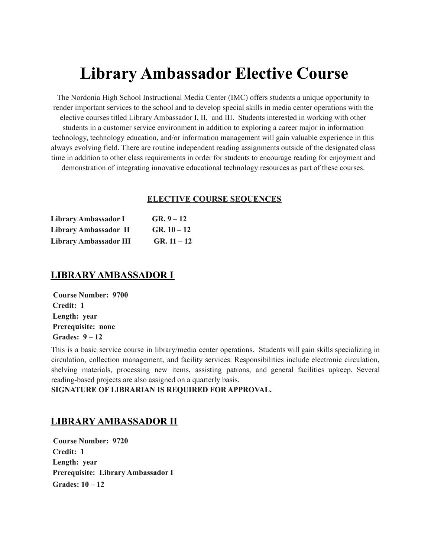# **Library Ambassador Elective Course**

The Nordonia High School Instructional Media Center (IMC) offers students a unique opportunity to render important services to the school and to develop special skills in media center operations with the elective courses titled Library Ambassador I, II, and III. Students interested in working with other students in a customer service environment in addition to exploring a career major in information technology, technology education, and/or information management will gain valuable experience in this always evolving field. There are routine independent reading assignments outside of the designated class time in addition to other class requirements in order for students to encourage reading for enjoyment and demonstration of integrating innovative educational technology resources as part of these courses.

#### **ELECTIVE COURSE SEQUENCES**

| Library Ambassador I          | $GR. 9 - 12$  |
|-------------------------------|---------------|
| Library Ambassador II         | $GR. 10 - 12$ |
| <b>Library Ambassador III</b> | $GR. 11 - 12$ |

### **LIBRARY AMBASSADOR I**

**Course Number: 9700 Credit: 1 Length: year Prerequisite: none Grades: 9 – 12**

This is a basic service course in library/media center operations. Students will gain skills specializing in circulation, collection management, and facility services. Responsibilities include electronic circulation, shelving materials, processing new items, assisting patrons, and general facilities upkeep. Several reading-based projects are also assigned on a quarterly basis.

**SIGNATURE OF LIBRARIAN IS REQUIRED FOR APPROVAL.**

## **LIBRARY AMBASSADOR II**

**Course Number: 9720 Credit: 1 Length: year Prerequisite: Library Ambassador I Grades: 10 – 12**